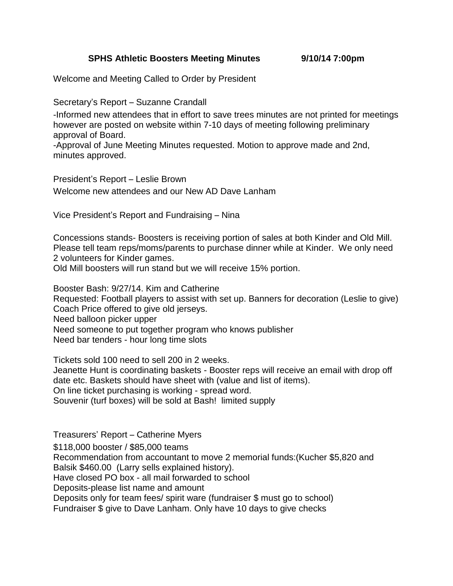## **SPHS Athletic Boosters Meeting Minutes 9/10/14 7:00pm**

Welcome and Meeting Called to Order by President

Secretary's Report – Suzanne Crandall

-Informed new attendees that in effort to save trees minutes are not printed for meetings however are posted on website within 7-10 days of meeting following preliminary approval of Board.

-Approval of June Meeting Minutes requested. Motion to approve made and 2nd, minutes approved.

President's Report – Leslie Brown Welcome new attendees and our New AD Dave Lanham

Vice President's Report and Fundraising – Nina

Concessions stands- Boosters is receiving portion of sales at both Kinder and Old Mill. Please tell team reps/moms/parents to purchase dinner while at Kinder. We only need 2 volunteers for Kinder games.

Old Mill boosters will run stand but we will receive 15% portion.

Booster Bash: 9/27/14. Kim and Catherine Requested: Football players to assist with set up. Banners for decoration (Leslie to give) Coach Price offered to give old jerseys. Need balloon picker upper Need someone to put together program who knows publisher Need bar tenders - hour long time slots

Tickets sold 100 need to sell 200 in 2 weeks. Jeanette Hunt is coordinating baskets - Booster reps will receive an email with drop off date etc. Baskets should have sheet with (value and list of items). On line ticket purchasing is working - spread word. Souvenir (turf boxes) will be sold at Bash! limited supply

Treasurers' Report – Catherine Myers \$118,000 booster / \$85,000 teams Recommendation from accountant to move 2 memorial funds:(Kucher \$5,820 and Balsik \$460.00 (Larry sells explained history). Have closed PO box - all mail forwarded to school Deposits-please list name and amount Deposits only for team fees/ spirit ware (fundraiser \$ must go to school) Fundraiser \$ give to Dave Lanham. Only have 10 days to give checks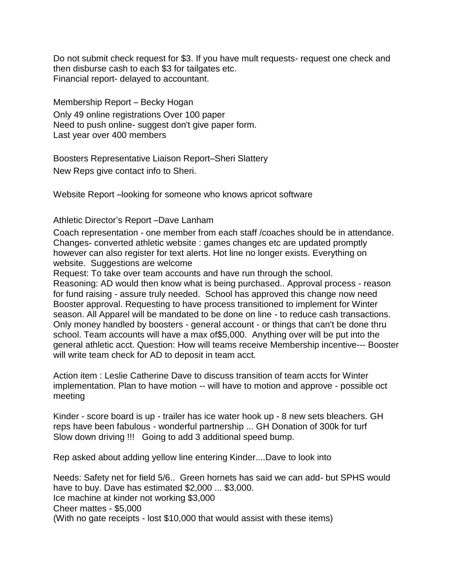Do not submit check request for \$3. If you have mult requests- request one check and then disburse cash to each \$3 for tailgates etc. Financial report- delayed to accountant.

Membership Report – Becky Hogan Only 49 online registrations Over 100 paper Need to push online- suggest don't give paper form. Last year over 400 members

Boosters Representative Liaison Report–Sheri Slattery New Reps give contact info to Sheri.

Website Report –looking for someone who knows apricot software

Athletic Director's Report –Dave Lanham

Coach representation - one member from each staff /coaches should be in attendance. Changes- converted athletic website : games changes etc are updated promptly however can also register for text alerts. Hot line no longer exists. Everything on website. Suggestions are welcome

Request: To take over team accounts and have run through the school.

Reasoning: AD would then know what is being purchased.. Approval process - reason for fund raising - assure truly needed. School has approved this change now need Booster approval. Requesting to have process transitioned to implement for Winter season. All Apparel will be mandated to be done on line - to reduce cash transactions. Only money handled by boosters - general account - or things that can't be done thru school. Team accounts will have a max of\$5,000. Anything over will be put into the general athletic acct. Question: How will teams receive Membership incentive--- Booster will write team check for AD to deposit in team acct.

Action item : Leslie Catherine Dave to discuss transition of team accts for Winter implementation. Plan to have motion -- will have to motion and approve - possible oct meeting

Kinder - score board is up - trailer has ice water hook up - 8 new sets bleachers. GH reps have been fabulous - wonderful partnership ... GH Donation of 300k for turf Slow down driving !!! Going to add 3 additional speed bump.

Rep asked about adding yellow line entering Kinder....Dave to look into

Needs: Safety net for field 5/6.. Green hornets has said we can add- but SPHS would have to buy. Dave has estimated \$2,000 ... \$3,000. Ice machine at kinder not working \$3,000 Cheer mattes - \$5,000 (With no gate receipts - lost \$10,000 that would assist with these items)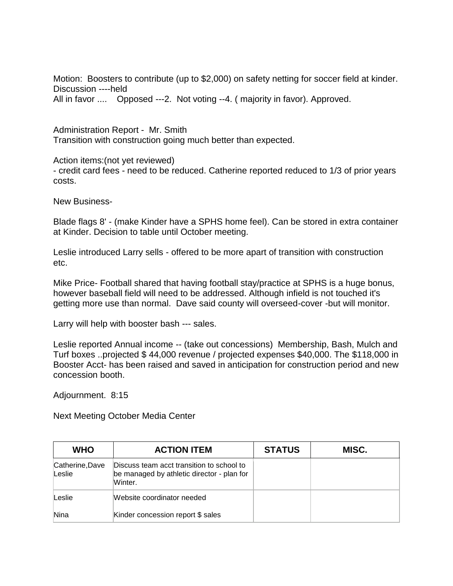Motion: Boosters to contribute (up to \$2,000) on safety netting for soccer field at kinder. Discussion ----held All in favor .... Opposed ---2. Not voting --4. ( majority in favor). Approved.

Administration Report - Mr. Smith Transition with construction going much better than expected.

Action items:(not yet reviewed) - credit card fees - need to be reduced. Catherine reported reduced to 1/3 of prior years costs.

New Business-

Blade flags 8' - (make Kinder have a SPHS home feel). Can be stored in extra container at Kinder. Decision to table until October meeting.

Leslie introduced Larry sells - offered to be more apart of transition with construction etc.

Mike Price- Football shared that having football stay/practice at SPHS is a huge bonus, however baseball field will need to be addressed. Although infield is not touched it's getting more use than normal. Dave said county will overseed-cover -but will monitor.

Larry will help with booster bash --- sales.

Leslie reported Annual income -- (take out concessions) Membership, Bash, Mulch and Turf boxes ..projected \$ 44,000 revenue / projected expenses \$40,000. The \$118,000 in Booster Acct- has been raised and saved in anticipation for construction period and new concession booth.

Adjournment. 8:15

Next Meeting October Media Center

| <b>WHO</b>                | <b>ACTION ITEM</b>                                                                                 | <b>STATUS</b> | MISC. |
|---------------------------|----------------------------------------------------------------------------------------------------|---------------|-------|
| Catherine, Dave<br>Leslie | Discuss team acct transition to school to<br>be managed by athletic director - plan for<br>Winter. |               |       |
| Leslie                    | Website coordinator needed                                                                         |               |       |
| Nina                      | Kinder concession report \$ sales                                                                  |               |       |